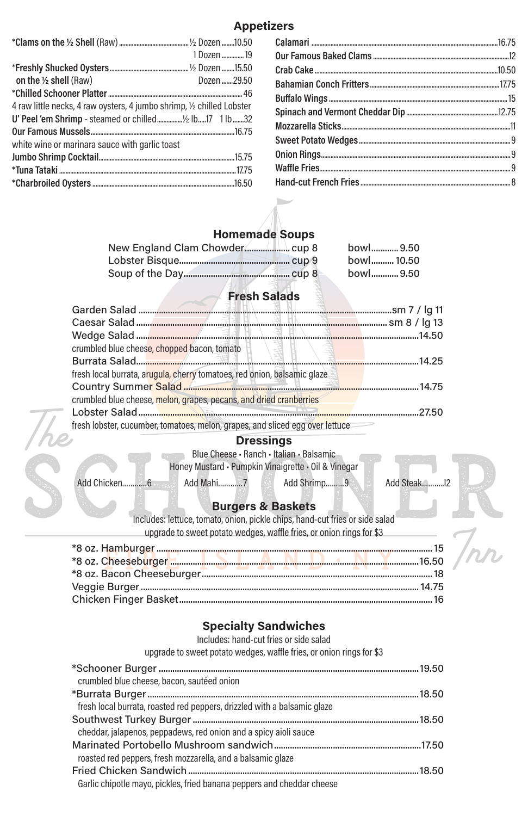### **Appetizers**

### **Homemade Soups**

|  | bowl9.50   |
|--|------------|
|  | bowl 10.50 |
|  | bowl9.50   |

# **Fresh Salads**

|                                                                          | crumbled blue cheese, chopped bacon, tomato                                                  | (事 |  |
|--------------------------------------------------------------------------|----------------------------------------------------------------------------------------------|----|--|
|                                                                          |                                                                                              |    |  |
| fresh local burrata, arugula, cherry tomatoes, red onion, balsamic glaze |                                                                                              |    |  |
|                                                                          | Country Summer Salad <b>with the Country Supplier of Salad</b> with the Country Summer 14.75 |    |  |
|                                                                          | crumbled blue cheese, melon, grapes, pecans, and dried cranberries                           |    |  |
|                                                                          |                                                                                              |    |  |
|                                                                          | fresh lobster, cucumber, tomatoes, melon, grapes, and sliced egg over lettuce                |    |  |

#### **Dressings**

Blue Cheese • Ranch • Italian • Balsamic

Honey Mustard • Pumpkin Vinaigrette • Oil & Vinegar

Add Chicken…………6 Add Mahi…………7 Add Shrimp………9 Add Steak……….12

# **Burgers & Baskets**

Includes: lettuce, tomato, onion, pickle chips, hand-cut fries or side salad upgrade to sweet potato wedges, waffle fries, or onion rings for \$3

#### **Specialty Sandwiches**

Includes: hand-cut fries or side salad

upgrade to sweet potato wedges, waffle fries, or onion rings for \$3

\*Schooner Burger ...................................................................................................................19.50 crumbled blue cheese, bacon, sautéed onion \*Burrata Burger........................................................................................................................18.50 fresh local burrata, roasted red peppers, drizzled with a balsamic glaze Southwest Turkey Burger....................................................................................................18.50 cheddar, jalapenos, peppadews, red onion and a spicy aioli sauce Marinated Portobello Mushroom sandwich.................................................................17.50 roasted red peppers, fresh mozzarella, and a balsamic glaze Fried Chicken Sandwich......................................................................................................18.50 Garlic chipotle mayo, pickles, fried banana peppers and cheddar cheese

|                                                                        | 1 Dozen  19 |
|------------------------------------------------------------------------|-------------|
|                                                                        |             |
| on the $\frac{1}{2}$ shell (Raw)                                       | Dozen 29.50 |
|                                                                        |             |
| 4 raw little necks, 4 raw oysters, 4 jumbo shrimp, 1/2 chilled Lobster |             |
|                                                                        |             |
|                                                                        |             |
| white wine or marinara sauce with garlic toast                         |             |
|                                                                        |             |
|                                                                        |             |
|                                                                        |             |
|                                                                        |             |